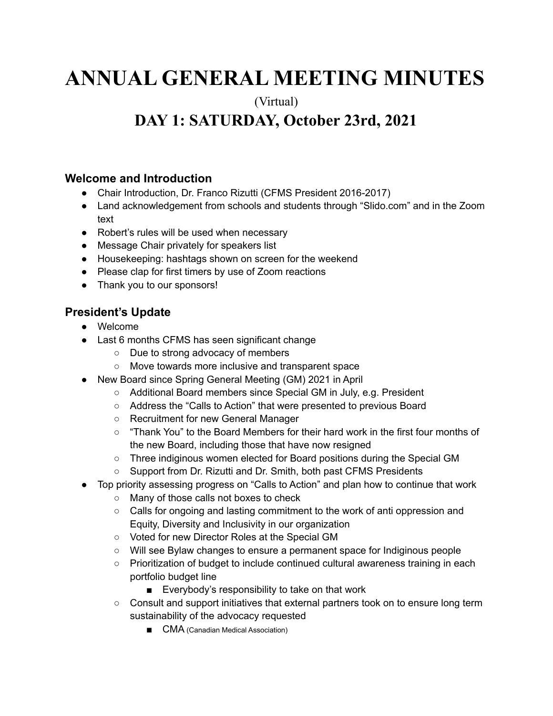# **ANNUAL GENERAL MEETING MINUTES**

(Virtual)

# **DAY 1: SATURDAY, October 23rd, 2021**

#### **Welcome and Introduction**

- Chair Introduction, Dr. Franco Rizutti (CFMS President 2016-2017)
- Land acknowledgement from schools and students through "Slido.com" and in the Zoom text
- Robert's rules will be used when necessary
- Message Chair privately for speakers list
- Housekeeping: hashtags shown on screen for the weekend
- Please clap for first timers by use of Zoom reactions
- Thank you to our sponsors!

# **President's Update**

- Welcome
- Last 6 months CFMS has seen significant change
	- Due to strong advocacy of members
	- Move towards more inclusive and transparent space
- New Board since Spring General Meeting (GM) 2021 in April
	- Additional Board members since Special GM in July, e.g. President
	- Address the "Calls to Action" that were presented to previous Board
	- Recruitment for new General Manager
	- "Thank You" to the Board Members for their hard work in the first four months of the new Board, including those that have now resigned
	- Three indiginous women elected for Board positions during the Special GM
	- Support from Dr. Rizutti and Dr. Smith, both past CFMS Presidents
- Top priority assessing progress on "Calls to Action" and plan how to continue that work
	- Many of those calls not boxes to check
	- Calls for ongoing and lasting commitment to the work of anti oppression and Equity, Diversity and Inclusivity in our organization
	- Voted for new Director Roles at the Special GM
	- Will see Bylaw changes to ensure a permanent space for Indiginous people
	- Prioritization of budget to include continued cultural awareness training in each portfolio budget line
		- Everybody's responsibility to take on that work
	- Consult and support initiatives that external partners took on to ensure long term sustainability of the advocacy requested
		- CMA (Canadian Medical Association)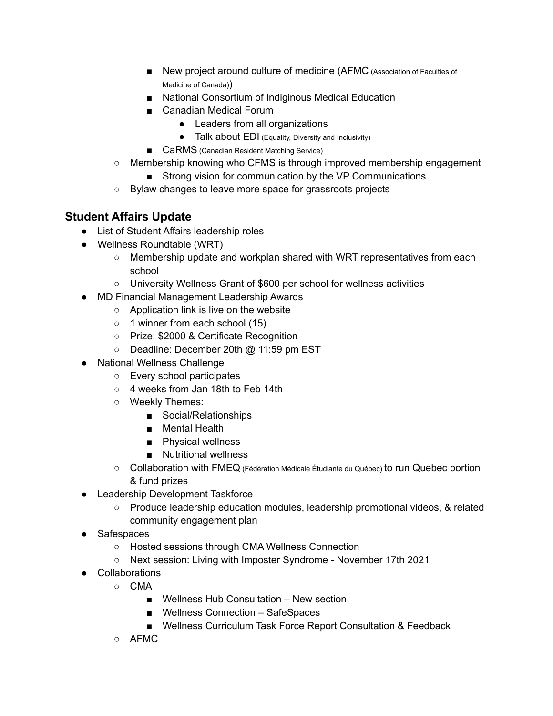- New project around culture of medicine (AFMC (Association of Faculties of Medicine of Canada))
- National Consortium of Indiginous Medical Education
- Canadian Medical Forum
	- Leaders from all organizations
	- Talk about EDI (Equality, Diversity and Inclusivity)
- CaRMS (Canadian Resident Matching Service)
- Membership knowing who CFMS is through improved membership engagement
	- Strong vision for communication by the VP Communications
- Bylaw changes to leave more space for grassroots projects

# **Student Affairs Update**

- List of Student Affairs leadership roles
- Wellness Roundtable (WRT)
	- $\circ$  Membership update and workplan shared with WRT representatives from each school
	- University Wellness Grant of \$600 per school for wellness activities
- MD Financial Management Leadership Awards
	- Application link is live on the website
	- 1 winner from each school (15)
	- Prize: \$2000 & Certificate Recognition
	- Deadline: December 20th @ 11:59 pm EST
- National Wellness Challenge
	- Every school participates
	- 4 weeks from Jan 18th to Feb 14th
	- Weekly Themes:
		- Social/Relationships
		- Mental Health
		- Physical wellness
		- Nutritional wellness
	- Collaboration with FMEQ (Fédération Médicale Étudiante du Québec) to run Quebec portion & fund prizes
- Leadership Development Taskforce
	- Produce leadership education modules, leadership promotional videos, & related community engagement plan
- Safespaces
	- Hosted sessions through CMA Wellness Connection
	- Next session: Living with Imposter Syndrome November 17th 2021
- Collaborations
	- CMA
		- Wellness Hub Consultation New section
		- Wellness Connection SafeSpaces
		- Wellness Curriculum Task Force Report Consultation & Feedback
	- AFMC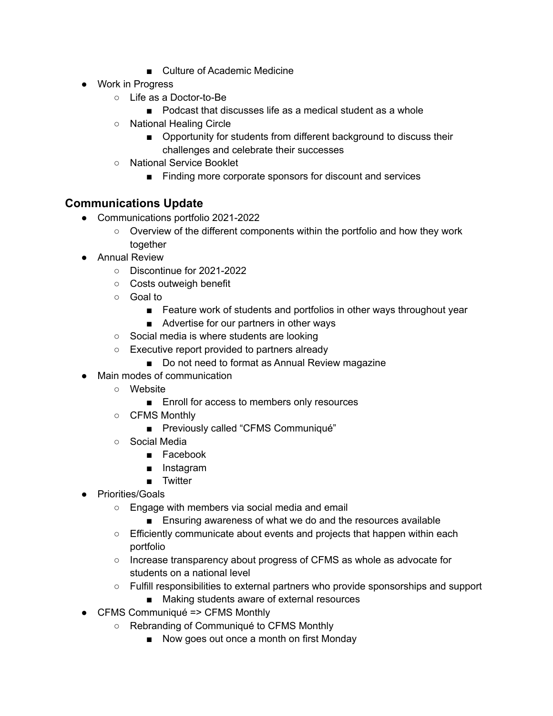- Culture of Academic Medicine
- Work in Progress
	- Life as a Doctor-to-Be
		- Podcast that discusses life as a medical student as a whole
	- National Healing Circle
		- Opportunity for students from different background to discuss their challenges and celebrate their successes
	- National Service Booklet
		- Finding more corporate sponsors for discount and services

### **Communications Update**

- Communications portfolio 2021-2022
	- Overview of the different components within the portfolio and how they work together
- Annual Review
	- Discontinue for 2021-2022
	- Costs outweigh benefit
	- Goal to
		- Feature work of students and portfolios in other ways throughout year
		- Advertise for our partners in other ways
	- Social media is where students are looking
	- Executive report provided to partners already
		- Do not need to format as Annual Review magazine
- Main modes of communication
	- Website
		- Enroll for access to members only resources
	- CFMS Monthly
		- Previously called "CFMS Communiqué"
	- Social Media
		- Facebook
		- Instagram
		- Twitter
- Priorities/Goals
	- Engage with members via social media and email
		- Ensuring awareness of what we do and the resources available
	- Efficiently communicate about events and projects that happen within each portfolio
	- Increase transparency about progress of CFMS as whole as advocate for students on a national level
	- Fulfill responsibilities to external partners who provide sponsorships and support
		- Making students aware of external resources
- CFMS Communiqué => CFMS Monthly
	- Rebranding of Communiqué to CFMS Monthly
		- Now goes out once a month on first Monday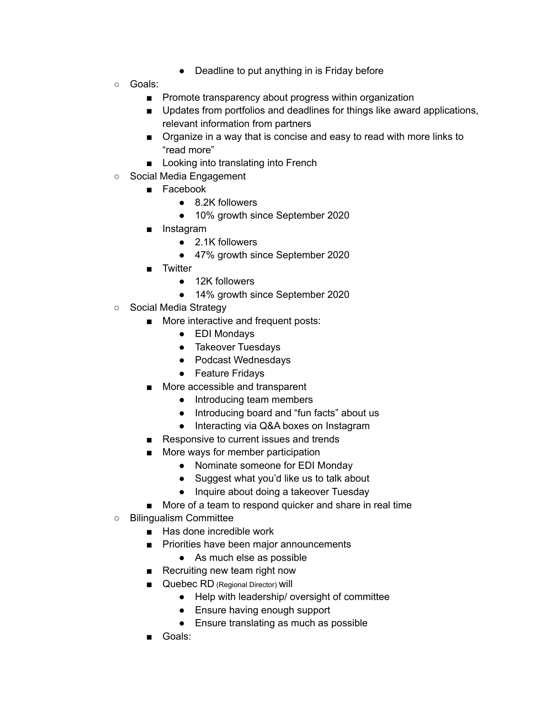- Deadline to put anything in is Friday before
- Goals:
	- Promote transparency about progress within organization
	- Updates from portfolios and deadlines for things like award applications, relevant information from partners
	- Organize in a way that is concise and easy to read with more links to "read more"
	- Looking into translating into French
- Social Media Engagement
	- Facebook
		- 8.2K followers
		- 10% growth since September 2020
	- Instagram
		- 2.1K followers
		- 47% growth since September 2020
	- Twitter
		- 12K followers
		- 14% growth since September 2020
- Social Media Strategy
	- More interactive and frequent posts:
		- EDI Mondays
		- Takeover Tuesdays
		- Podcast Wednesdays
		- Feature Fridays
	- More accessible and transparent
		- Introducing team members
		- Introducing board and "fun facts" about us
		- Interacting via Q&A boxes on Instagram
	- Responsive to current issues and trends
	- More ways for member participation
		- Nominate someone for EDI Monday
		- Suggest what you'd like us to talk about
		- Inquire about doing a takeover Tuesday
	- More of a team to respond quicker and share in real time
- Bilingualism Committee
	- Has done incredible work
	- Priorities have been major announcements
		- As much else as possible
	- Recruiting new team right now
	- Quebec RD (Regional Director) Will
		- Help with leadership/ oversight of committee
		- Ensure having enough support
		- Ensure translating as much as possible
	- Goals: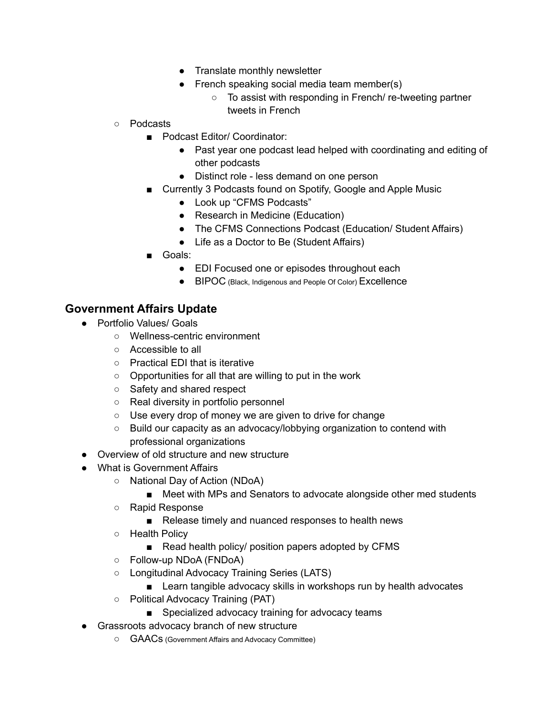- Translate monthly newsletter
- French speaking social media team member(s)
	- To assist with responding in French/ re-tweeting partner tweets in French
- Podcasts
	- Podcast Editor/ Coordinator:
		- Past year one podcast lead helped with coordinating and editing of other podcasts
		- Distinct role less demand on one person
	- Currently 3 Podcasts found on Spotify, Google and Apple Music
		- Look up "CFMS Podcasts"
		- Research in Medicine (Education)
		- The CFMS Connections Podcast (Education/ Student Affairs)
		- Life as a Doctor to Be (Student Affairs)
	- Goals:
		- EDI Focused one or episodes throughout each
		- BIPOC (Black, Indigenous and People Of Color) Excellence

#### **Government Affairs Update**

- Portfolio Values/ Goals
	- Wellness-centric environment
	- Accessible to all
	- Practical EDI that is iterative
	- Opportunities for all that are willing to put in the work
	- Safety and shared respect
	- Real diversity in portfolio personnel
	- Use every drop of money we are given to drive for change
	- Build our capacity as an advocacy/lobbying organization to contend with professional organizations
- Overview of old structure and new structure
- What is Government Affairs
	- National Day of Action (NDoA)
		- Meet with MPs and Senators to advocate alongside other med students
	- Rapid Response
		- Release timely and nuanced responses to health news
	- Health Policy
		- Read health policy/ position papers adopted by CFMS
	- Follow-up NDoA (FNDoA)
	- Longitudinal Advocacy Training Series (LATS)
		- Learn tangible advocacy skills in workshops run by health advocates
	- Political Advocacy Training (PAT)
		- Specialized advocacy training for advocacy teams
- Grassroots advocacy branch of new structure
	- GAACs (Government Affairs and Advocacy Committee)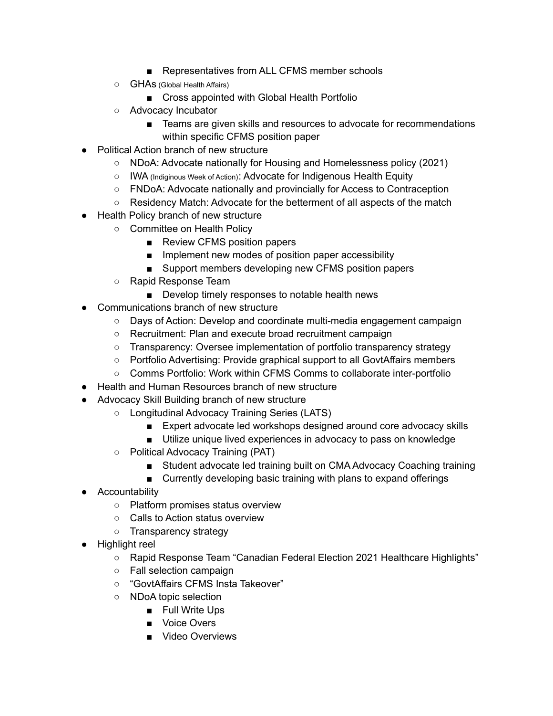- Representatives from ALL CFMS member schools
- GHAs (Global Health Affairs)
	- Cross appointed with Global Health Portfolio
- Advocacy Incubator
	- Teams are given skills and resources to advocate for recommendations within specific CFMS position paper
- Political Action branch of new structure
	- NDoA: Advocate nationally for Housing and Homelessness policy (2021)
	- IWA (Indiginous Week of Action): Advocate for Indigenous Health Equity
	- FNDoA: Advocate nationally and provincially for Access to Contraception
	- Residency Match: Advocate for the betterment of all aspects of the match
- Health Policy branch of new structure
	- Committee on Health Policy
		- Review CFMS position papers
		- Implement new modes of position paper accessibility
		- Support members developing new CFMS position papers
	- Rapid Response Team
		- Develop timely responses to notable health news
- Communications branch of new structure
	- Days of Action: Develop and coordinate multi-media engagement campaign
	- Recruitment: Plan and execute broad recruitment campaign
	- Transparency: Oversee implementation of portfolio transparency strategy
	- Portfolio Advertising: Provide graphical support to all GovtAffairs members
	- Comms Portfolio: Work within CFMS Comms to collaborate inter-portfolio
- Health and Human Resources branch of new structure
- Advocacy Skill Building branch of new structure
	- Longitudinal Advocacy Training Series (LATS)
		- Expert advocate led workshops designed around core advocacy skills
		- Utilize unique lived experiences in advocacy to pass on knowledge
	- Political Advocacy Training (PAT)
		- Student advocate led training built on CMA Advocacy Coaching training
		- Currently developing basic training with plans to expand offerings
- Accountability
	- Platform promises status overview
	- Calls to Action status overview
	- Transparency strategy
- Highlight reel
	- Rapid Response Team "Canadian Federal Election 2021 Healthcare Highlights"
	- Fall selection campaign
	- "GovtAffairs CFMS Insta Takeover"
	- NDoA topic selection
		- Full Write Ups
		- Voice Overs
		- Video Overviews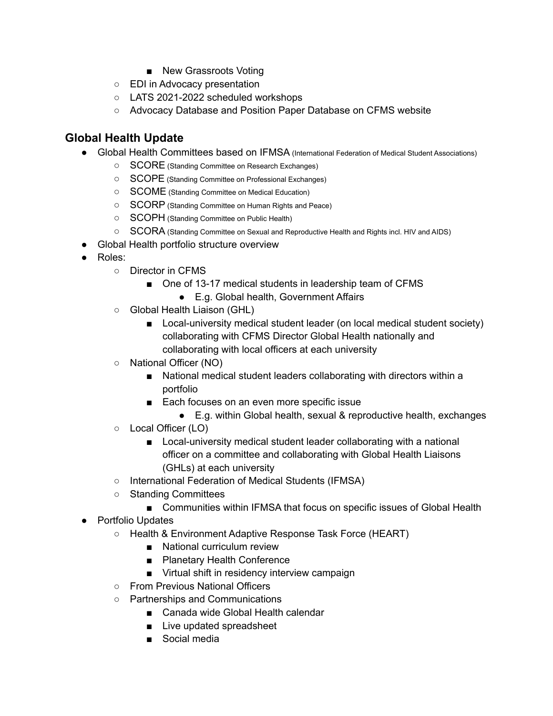- New Grassroots Voting
- EDI in Advocacy presentation
- LATS 2021-2022 scheduled workshops
- Advocacy Database and Position Paper Database on CFMS website

# **Global Health Update**

- Global Health Committees based on IFMSA (International Federation of Medical Student Associations)
	- SCORE (Standing Committee on Research Exchanges)
	- SCOPE (Standing Committee on Professional Exchanges)
	- SCOME (Standing Committee on Medical Education)
	- SCORP (Standing Committee on Human Rights and Peace)
	- SCOPH (Standing Committee on Public Health)
	- SCORA (Standing Committee on Sexual and Reproductive Health and Rights incl. HIV and AIDS)
- Global Health portfolio structure overview
- Roles:
	- Director in CFMS
		- One of 13-17 medical students in leadership team of CFMS
			- E.g. Global health, Government Affairs
	- Global Health Liaison (GHL)
		- Local-university medical student leader (on local medical student society) collaborating with CFMS Director Global Health nationally and collaborating with local officers at each university
	- National Officer (NO)
		- National medical student leaders collaborating with directors within a portfolio
		- Each focuses on an even more specific issue
			- E.g. within Global health, sexual & reproductive health, exchanges
	- Local Officer (LO)
		- Local-university medical student leader collaborating with a national officer on a committee and collaborating with Global Health Liaisons (GHLs) at each university
	- International Federation of Medical Students (IFMSA)
	- Standing Committees
		- Communities within IFMSA that focus on specific issues of Global Health
- Portfolio Updates
	- Health & Environment Adaptive Response Task Force (HEART)
		- National curriculum review
		- Planetary Health Conference
		- Virtual shift in residency interview campaign
	- From Previous National Officers
	- Partnerships and Communications
		- Canada wide Global Health calendar
		- Live updated spreadsheet
		- Social media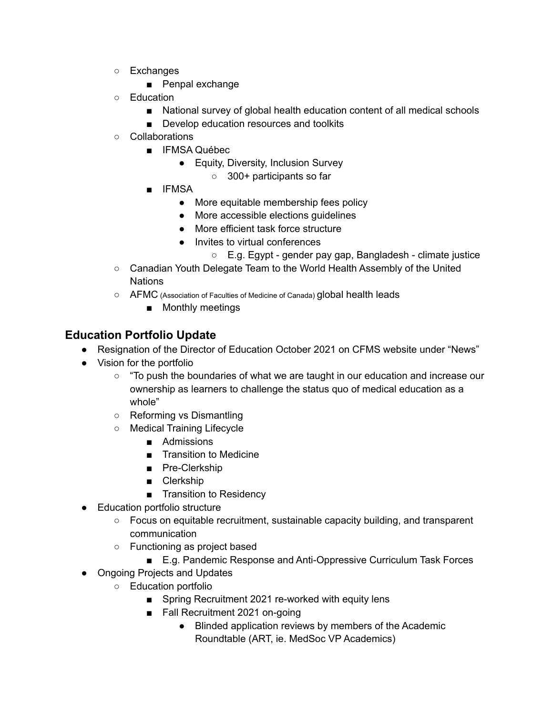- Exchanges
	- Penpal exchange
- Education
	- National survey of global health education content of all medical schools
	- Develop education resources and toolkits
- Collaborations
	- IFMSA Québec
		- Equity, Diversity, Inclusion Survey
			- 300+ participants so far
	- IFMSA
		- More equitable membership fees policy
		- More accessible elections guidelines
		- More efficient task force structure
		- Invites to virtual conferences
			- E.g. Egypt gender pay gap, Bangladesh climate justice
- Canadian Youth Delegate Team to the World Health Assembly of the United **Nations**
- AFMC (Association of Faculties of Medicine of Canada) global health leads
	- Monthly meetings

# **Education Portfolio Update**

- Resignation of the Director of Education October 2021 on CFMS website under "News"
- Vision for the portfolio
	- "To push the boundaries of what we are taught in our education and increase our ownership as learners to challenge the status quo of medical education as a whole"
	- Reforming vs Dismantling
	- Medical Training Lifecycle
		- Admissions
		- Transition to Medicine
		- Pre-Clerkship
		- Clerkship
		- Transition to Residency
- Education portfolio structure
	- Focus on equitable recruitment, sustainable capacity building, and transparent communication
	- Functioning as project based
		- E.g. Pandemic Response and Anti-Oppressive Curriculum Task Forces
- Ongoing Projects and Updates
	- Education portfolio
		- Spring Recruitment 2021 re-worked with equity lens
		- Fall Recruitment 2021 on-going
			- Blinded application reviews by members of the Academic Roundtable (ART, ie. MedSoc VP Academics)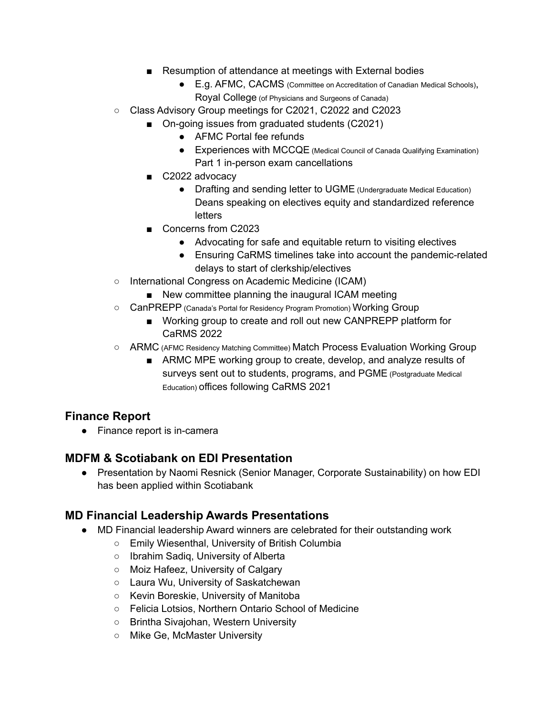- Resumption of attendance at meetings with External bodies
	- E.g. AFMC, CACMS (Committee on Accreditation of Canadian Medical Schools), Royal College (of Physicians and Surgeons of Canada)
- Class Advisory Group meetings for C2021, C2022 and C2023
	- On-going issues from graduated students (C2021)
		- AFMC Portal fee refunds
		- Experiences with MCCQE (Medical Council of Canada Qualifying Examination) Part 1 in-person exam cancellations
	- C2022 advocacy
		- Drafting and sending letter to UGME (Undergraduate Medical Education) Deans speaking on electives equity and standardized reference **letters**
	- Concerns from C2023
		- Advocating for safe and equitable return to visiting electives
		- Ensuring CaRMS timelines take into account the pandemic-related delays to start of clerkship/electives
- International Congress on Academic Medicine (ICAM)
	- New committee planning the inaugural ICAM meeting
- CanPREPP (Canada's Portal for Residency Program Promotion) Working Group
	- Working group to create and roll out new CANPREPP platform for CaRMS 2022
- ARMC (AFMC Residency Matching Committee) Match Process Evaluation Working Group
	- ARMC MPE working group to create, develop, and analyze results of surveys sent out to students, programs, and PGME (Postgraduate Medical Education) offices following CaRMS 2021

# **Finance Report**

● Finance report is in-camera

# **MDFM & Scotiabank on EDI Presentation**

● Presentation by Naomi Resnick (Senior Manager, Corporate Sustainability) on how EDI has been applied within Scotiabank

# **MD Financial Leadership Awards Presentations**

- MD Financial leadership Award winners are celebrated for their outstanding work
	- Emily Wiesenthal, University of British Columbia
	- Ibrahim Sadiq, University of Alberta
	- Moiz Hafeez, University of Calgary
	- Laura Wu, University of Saskatchewan
	- Kevin Boreskie, University of Manitoba
	- Felicia Lotsios, Northern Ontario School of Medicine
	- Brintha Sivajohan, Western University
	- Mike Ge, McMaster University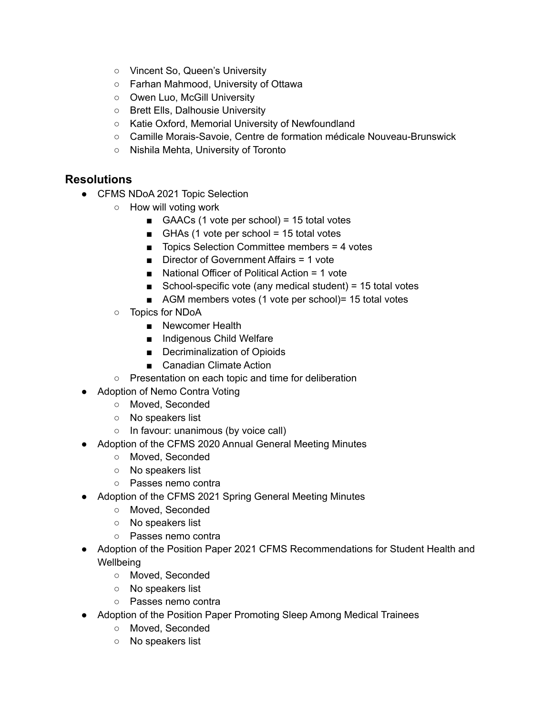- Vincent So, Queen's University
- Farhan Mahmood, University of Ottawa
- Owen Luo, McGill University
- Brett Ells, Dalhousie University
- Katie Oxford, Memorial University of Newfoundland
- Camille Morais-Savoie, Centre de formation médicale Nouveau-Brunswick
- Nishila Mehta, University of Toronto

#### **Resolutions**

- CFMS NDoA 2021 Topic Selection
	- How will voting work
		- GAACs  $(1 \text{ vote per school}) = 15 \text{ total votes}$
		- GHAs (1 vote per school = 15 total votes
		- Topics Selection Committee members = 4 votes
		- Director of Government Affairs = 1 vote
		- National Officer of Political Action = 1 vote
		- School-specific vote (any medical student) = 15 total votes
		- AGM members votes (1 vote per school) = 15 total votes
	- Topics for NDoA
		- Newcomer Health
		- Indigenous Child Welfare
		- Decriminalization of Opioids
		- Canadian Climate Action
	- Presentation on each topic and time for deliberation
- Adoption of Nemo Contra Voting
	- Moved, Seconded
	- No speakers list
	- In favour: unanimous (by voice call)
- Adoption of the CFMS 2020 Annual General Meeting Minutes
	- Moved, Seconded
	- No speakers list
	- Passes nemo contra
- Adoption of the CFMS 2021 Spring General Meeting Minutes
	- Moved, Seconded
	- No speakers list
	- Passes nemo contra
- Adoption of the Position Paper 2021 CFMS Recommendations for Student Health and **Wellbeing** 
	- Moved, Seconded
	- No speakers list
	- Passes nemo contra
- Adoption of the Position Paper Promoting Sleep Among Medical Trainees
	- Moved, Seconded
	- No speakers list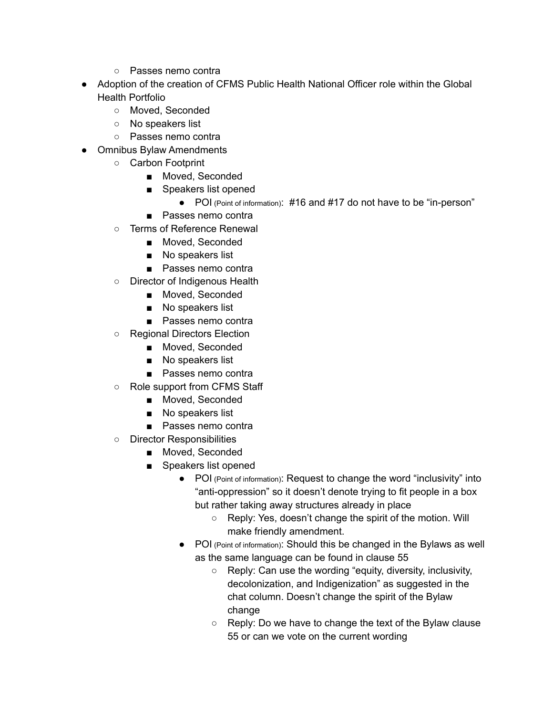- Passes nemo contra
- Adoption of the creation of CFMS Public Health National Officer role within the Global Health Portfolio
	- Moved, Seconded
	- No speakers list
	- Passes nemo contra
- Omnibus Bylaw Amendments
	- Carbon Footprint
		- Moved, Seconded
		- Speakers list opened
			- POI (Point of information): #16 and #17 do not have to be "in-person"
		- Passes nemo contra
	- Terms of Reference Renewal
		- Moved, Seconded
		- No speakers list
		- Passes nemo contra
	- Director of Indigenous Health
		- Moved, Seconded
		- No speakers list
		- Passes nemo contra
	- Regional Directors Election
		- Moved, Seconded
		- No speakers list
		- Passes nemo contra
	- Role support from CFMS Staff
		- Moved, Seconded
		- No speakers list
		- Passes nemo contra
	- Director Responsibilities
		- Moved, Seconded
		- Speakers list opened
			- POI (Point of information): Request to change the word "inclusivity" into "anti-oppression" so it doesn't denote trying to fit people in a box but rather taking away structures already in place
				- Reply: Yes, doesn't change the spirit of the motion. Will make friendly amendment.
			- POI (Point of information): Should this be changed in the Bylaws as well as the same language can be found in clause 55
				- Reply: Can use the wording "equity, diversity, inclusivity, decolonization, and Indigenization" as suggested in the chat column. Doesn't change the spirit of the Bylaw change
				- Reply: Do we have to change the text of the Bylaw clause 55 or can we vote on the current wording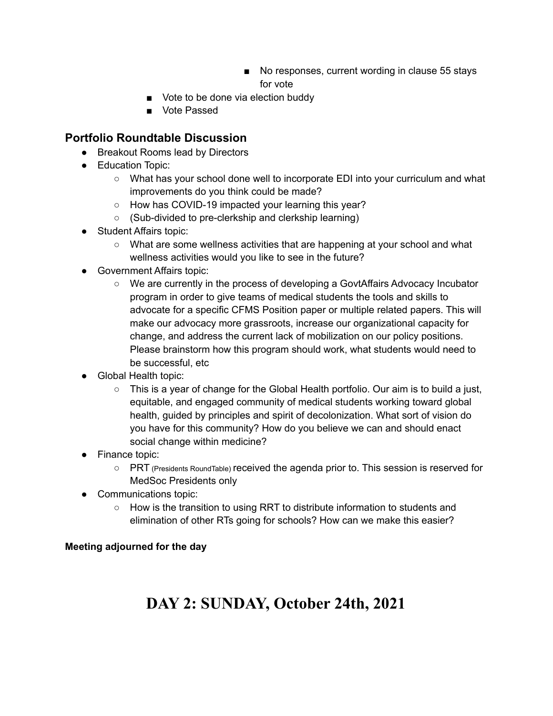- No responses, current wording in clause 55 stays for vote
- Vote to be done via election buddy
- Vote Passed

#### **Portfolio Roundtable Discussion**

- Breakout Rooms lead by Directors
- Education Topic:
	- What has your school done well to incorporate EDI into your curriculum and what improvements do you think could be made?
	- How has COVID-19 impacted your learning this year?
	- (Sub-divided to pre-clerkship and clerkship learning)
- Student Affairs topic:
	- What are some wellness activities that are happening at your school and what wellness activities would you like to see in the future?
- Government Affairs topic:
	- We are currently in the process of developing a GovtAffairs Advocacy Incubator program in order to give teams of medical students the tools and skills to advocate for a specific CFMS Position paper or multiple related papers. This will make our advocacy more grassroots, increase our organizational capacity for change, and address the current lack of mobilization on our policy positions. Please brainstorm how this program should work, what students would need to be successful, etc
- Global Health topic:
	- $\circ$  This is a year of change for the Global Health portfolio. Our aim is to build a just, equitable, and engaged community of medical students working toward global health, guided by principles and spirit of decolonization. What sort of vision do you have for this community? How do you believe we can and should enact social change within medicine?
- Finance topic:
	- PRT (Presidents RoundTable) received the agenda prior to. This session is reserved for MedSoc Presidents only
- Communications topic:
	- How is the transition to using RRT to distribute information to students and elimination of other RTs going for schools? How can we make this easier?

#### **Meeting adjourned for the day**

# **DAY 2: SUNDAY, October 24th, 2021**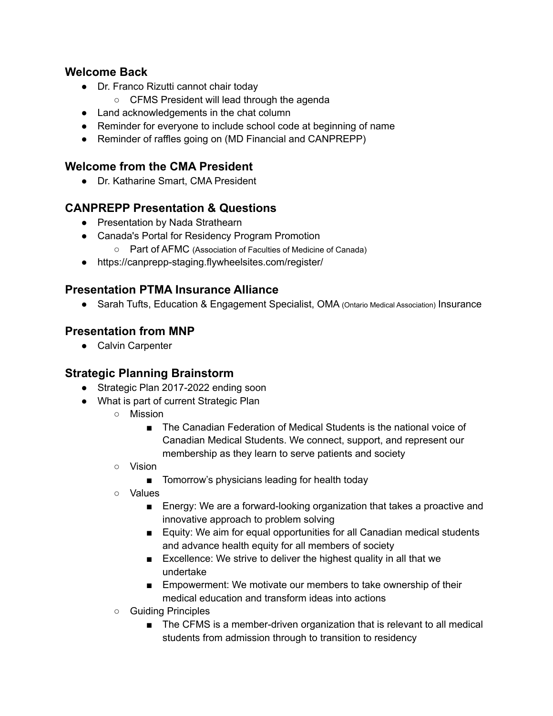#### **Welcome Back**

- Dr. Franco Rizutti cannot chair today
	- CFMS President will lead through the agenda
- Land acknowledgements in the chat column
- Reminder for everyone to include school code at beginning of name
- Reminder of raffles going on (MD Financial and CANPREPP)

### **Welcome from the CMA President**

● Dr. Katharine Smart, CMA President

# **CANPREPP Presentation & Questions**

- Presentation by Nada Strathearn
- Canada's Portal for Residency Program Promotion
	- Part of AFMC (Association of Faculties of Medicine of Canada)
- https://canprepp-staging.flywheelsites.com/register/

# **Presentation PTMA Insurance Alliance**

● Sarah Tufts, Education & Engagement Specialist, OMA (Ontario Medical Association) Insurance

# **Presentation from MNP**

● Calvin Carpenter

# **Strategic Planning Brainstorm**

- Strategic Plan 2017-2022 ending soon
- What is part of current Strategic Plan
	- Mission
		- The Canadian Federation of Medical Students is the national voice of Canadian Medical Students. We connect, support, and represent our membership as they learn to serve patients and society
	- Vision
		- Tomorrow's physicians leading for health today
	- Values
		- Energy: We are a forward-looking organization that takes a proactive and innovative approach to problem solving
		- Equity: We aim for equal opportunities for all Canadian medical students and advance health equity for all members of society
		- Excellence: We strive to deliver the highest quality in all that we undertake
		- Empowerment: We motivate our members to take ownership of their medical education and transform ideas into actions
	- Guiding Principles
		- The CFMS is a member-driven organization that is relevant to all medical students from admission through to transition to residency